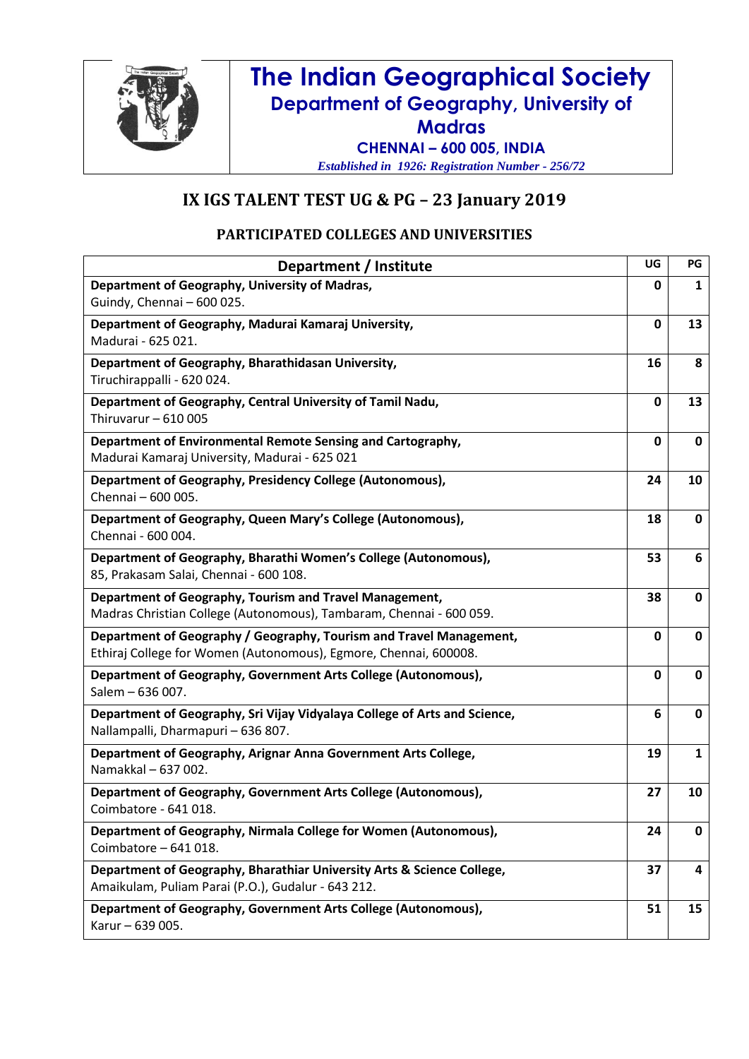

## **The Indian Geographical Society Department of Geography, University of Madras CHENNAI – 600 005, INDIA**

*Established in 1926: Registration Number - 256/72*

## **IX IGS TALENT TEST UG & PG – 23 January 2019**

## **PARTICIPATED COLLEGES AND UNIVERSITIES**

| Department / Institute                                                                                                                  | UG           | PG           |
|-----------------------------------------------------------------------------------------------------------------------------------------|--------------|--------------|
| Department of Geography, University of Madras,<br>Guindy, Chennai - 600 025.                                                            | 0            | 1            |
| Department of Geography, Madurai Kamaraj University,<br>Madurai - 625 021.                                                              | $\mathbf 0$  | 13           |
| Department of Geography, Bharathidasan University,<br>Tiruchirappalli - 620 024.                                                        | 16           | 8            |
| Department of Geography, Central University of Tamil Nadu,<br>Thiruvarur $-610005$                                                      | $\mathbf 0$  | 13           |
| Department of Environmental Remote Sensing and Cartography,<br>Madurai Kamaraj University, Madurai - 625 021                            | $\mathbf{0}$ | 0            |
| Department of Geography, Presidency College (Autonomous),<br>Chennai - 600 005.                                                         | 24           | 10           |
| Department of Geography, Queen Mary's College (Autonomous),<br>Chennai - 600 004.                                                       | 18           | 0            |
| Department of Geography, Bharathi Women's College (Autonomous),<br>85, Prakasam Salai, Chennai - 600 108.                               | 53           | 6            |
| Department of Geography, Tourism and Travel Management,<br>Madras Christian College (Autonomous), Tambaram, Chennai - 600 059.          | 38           | 0            |
| Department of Geography / Geography, Tourism and Travel Management,<br>Ethiraj College for Women (Autonomous), Egmore, Chennai, 600008. | $\mathbf{0}$ | $\mathbf 0$  |
| Department of Geography, Government Arts College (Autonomous),<br>Salem - 636 007.                                                      | $\mathbf 0$  | 0            |
| Department of Geography, Sri Vijay Vidyalaya College of Arts and Science,<br>Nallampalli, Dharmapuri - 636 807.                         | 6            | 0            |
| Department of Geography, Arignar Anna Government Arts College,<br>Namakkal - 637 002.                                                   | 19           | $\mathbf{1}$ |
| Department of Geography, Government Arts College (Autonomous),<br>Coimbatore - 641 018.                                                 | 27           | 10           |
| Department of Geography, Nirmala College for Women (Autonomous),<br>Coimbatore - 641 018.                                               | 24           | 0            |
| Department of Geography, Bharathiar University Arts & Science College,<br>Amaikulam, Puliam Parai (P.O.), Gudalur - 643 212.            | 37           | 4            |
| Department of Geography, Government Arts College (Autonomous),<br>Karur - 639 005.                                                      | 51           | 15           |